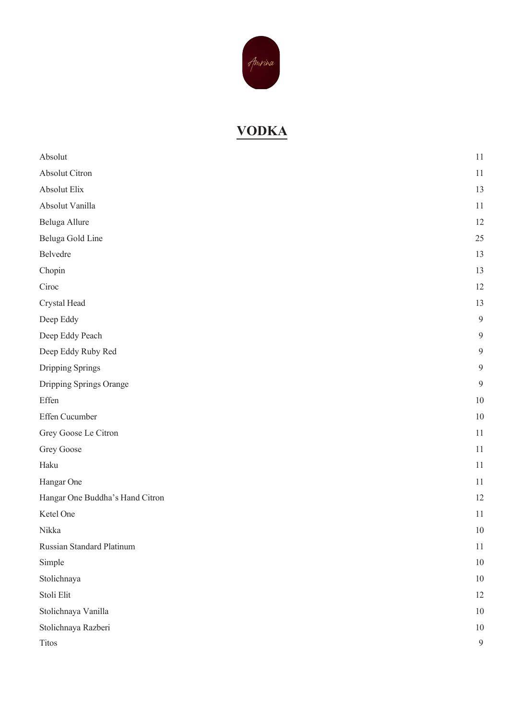

## **VODKA**

| Absolut                         | 11 |
|---------------------------------|----|
| Absolut Citron                  | 11 |
| Absolut Elix                    | 13 |
| Absolut Vanilla                 | 11 |
| Beluga Allure                   | 12 |
| Beluga Gold Line                | 25 |
| Belvedre                        | 13 |
| Chopin                          | 13 |
| Ciroc                           | 12 |
| Crystal Head                    | 13 |
| Deep Eddy                       | 9  |
| Deep Eddy Peach                 | 9  |
| Deep Eddy Ruby Red              | 9  |
| Dripping Springs                | 9  |
| Dripping Springs Orange         | 9  |
| Effen                           | 10 |
| Effen Cucumber                  | 10 |
| Grey Goose Le Citron            | 11 |
| Grey Goose                      | 11 |
| Haku                            | 11 |
| Hangar One                      | 11 |
| Hangar One Buddha's Hand Citron | 12 |
| Ketel One                       | 11 |
| Nikka                           | 10 |
| Russian Standard Platinum       | 11 |
| Simple                          | 10 |
| Stolichnaya                     | 10 |
| Stoli Elit                      | 12 |
| Stolichnaya Vanilla             | 10 |
| Stolichnaya Razberi             | 10 |
| Titos                           | 9  |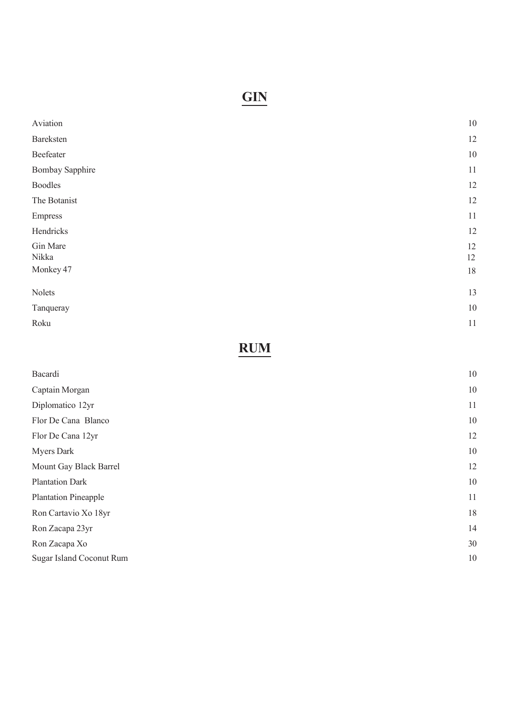# **GIN**

| Aviation               | $10\,$   |
|------------------------|----------|
| Bareksten              | 12       |
| Beefeater              | $10\,$   |
| <b>Bombay Sapphire</b> | 11       |
| <b>Boodles</b>         | 12       |
| The Botanist           | 12       |
| <b>Empress</b>         | 11       |
| Hendricks              | 12       |
| Gin Mare<br>Nikka      | 12<br>12 |
| Monkey 47              | $18\,$   |
| Nolets                 | 13       |
| Tanqueray              | $10\,$   |
| Roku                   | 11       |
|                        |          |

## **RUM**

| Bacardi                     | 10 |
|-----------------------------|----|
| Captain Morgan              | 10 |
| Diplomatico 12yr            | 11 |
| Flor De Cana Blanco         | 10 |
| Flor De Cana 12yr           | 12 |
| <b>Myers Dark</b>           | 10 |
| Mount Gay Black Barrel      | 12 |
| <b>Plantation Dark</b>      | 10 |
| <b>Plantation Pineapple</b> | 11 |
| Ron Cartavio Xo 18yr        | 18 |
| Ron Zacapa 23yr             | 14 |
| Ron Zacapa Xo               | 30 |
| Sugar Island Coconut Rum    | 10 |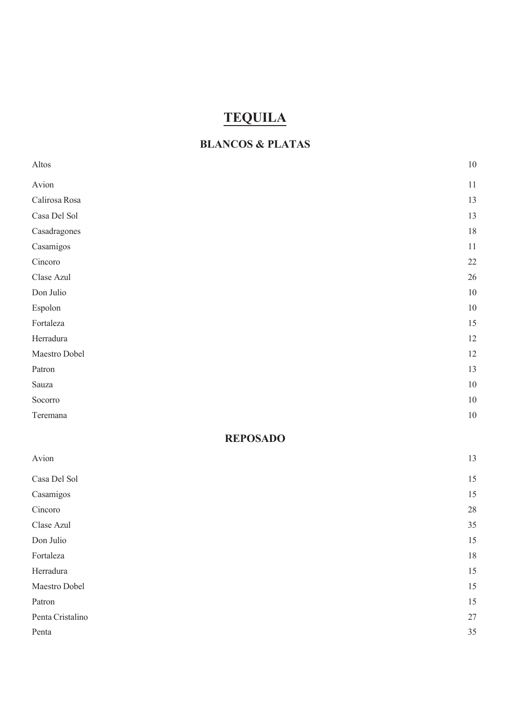# **TEQUILA**

#### **BLANCOS & PLATAS**

| Altos            | $10\,$ |
|------------------|--------|
| Avion            | $11\,$ |
| Calirosa Rosa    | 13     |
| Casa Del Sol     | 13     |
| Casadragones     | 18     |
| Casamigos        | $11\,$ |
| Cincoro          | 22     |
| Clase Azul       | $26\,$ |
| Don Julio        | $10\,$ |
| Espolon          | $10\,$ |
| Fortaleza        | 15     |
| Herradura        | 12     |
| Maestro Dobel    | 12     |
| Patron           | 13     |
| Sauza            | $10\,$ |
| Socorro          | $10\,$ |
| Teremana         | $10\,$ |
| <b>REPOSADO</b>  |        |
| Avion            | 13     |
| Casa Del Sol     | 15     |
| Casamigos        | 15     |
| Cincoro          | 28     |
| Clase Azul       | 35     |
| Don Julio        | 15     |
| Fortaleza        | 18     |
| Herradura        | 15     |
| Maestro Dobel    | 15     |
| Patron           | 15     |
| Penta Cristalino | $27\,$ |
| Penta            | 35     |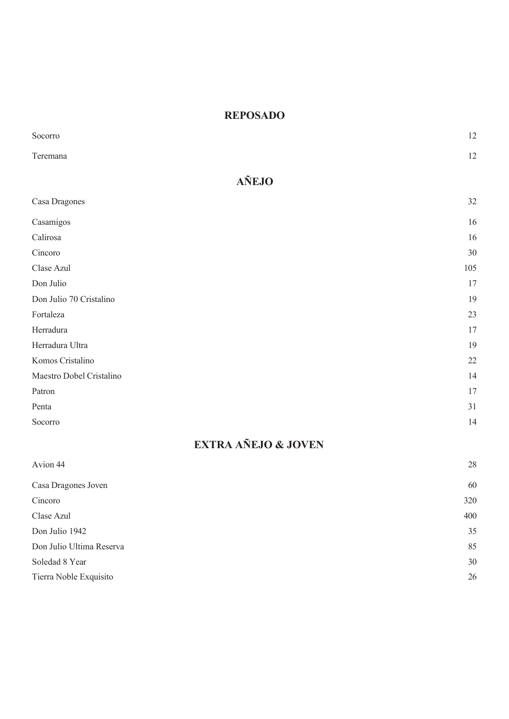#### **REPOSADO**

| Socorro                        | 12  |
|--------------------------------|-----|
| Teremana                       | 12  |
| <b>AÑEJO</b>                   |     |
| Casa Dragones                  | 32  |
| Casamigos                      | 16  |
| Calirosa                       | 16  |
| Cincoro                        | 30  |
| Clase Azul                     | 105 |
| Don Julio                      | 17  |
| Don Julio 70 Cristalino        | 19  |
| Fortaleza                      | 23  |
| Herradura                      | 17  |
| Herradura Ultra                | 19  |
| Komos Cristalino               | 22  |
| Maestro Dobel Cristalino       | 14  |
| Patron                         | 17  |
| Penta                          | 31  |
| Socorro                        | 14  |
| <b>EXTRA AÑEJO &amp; JOVEN</b> |     |
| Avion 44                       | 28  |

Casa Dragones Joven 60

Cincoro 320 Clase Azul 400 Don Julio 1942 35 Don Julio Ultima Reserva 85 Soledad 8 Year 30 Tierra Noble Exquisito 26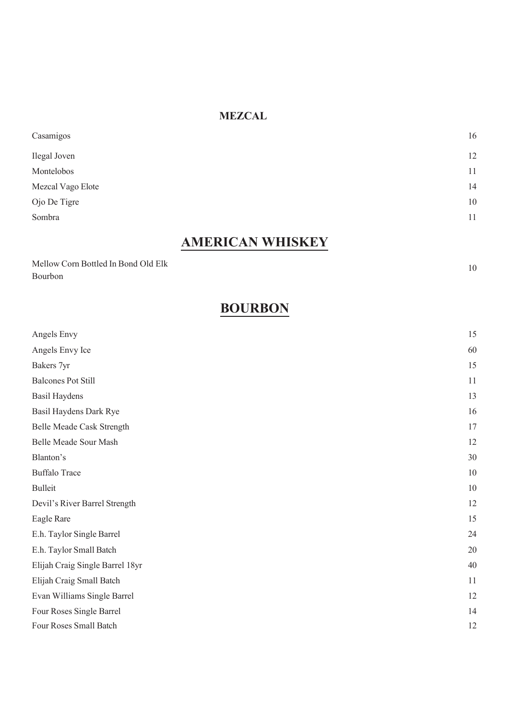#### **MEZCAL**

| Casamigos         | 16 |
|-------------------|----|
| Ilegal Joven      | 12 |
| Montelobos        | 11 |
| Mezcal Vago Elote | 14 |
| Ojo De Tigre      | 10 |
| Sombra            | 11 |
|                   |    |

## **AMERICAN WHISKEY**

| Mellow Corn Bottled In Bond Old Elk |  |
|-------------------------------------|--|
| Bourbon                             |  |

10

## **BOURBON**

| Angels Envy                     | 15 |
|---------------------------------|----|
| Angels Envy Ice                 | 60 |
| Bakers 7yr                      | 15 |
| <b>Balcones Pot Still</b>       | 11 |
| <b>Basil Haydens</b>            | 13 |
| Basil Haydens Dark Rye          | 16 |
| Belle Meade Cask Strength       | 17 |
| Belle Meade Sour Mash           | 12 |
| Blanton's                       | 30 |
| <b>Buffalo Trace</b>            | 10 |
| <b>Bulleit</b>                  | 10 |
| Devil's River Barrel Strength   | 12 |
| Eagle Rare                      | 15 |
| E.h. Taylor Single Barrel       | 24 |
| E.h. Taylor Small Batch         | 20 |
| Elijah Craig Single Barrel 18yr | 40 |
| Elijah Craig Small Batch        | 11 |
| Evan Williams Single Barrel     | 12 |
| Four Roses Single Barrel        | 14 |
| Four Roses Small Batch          | 12 |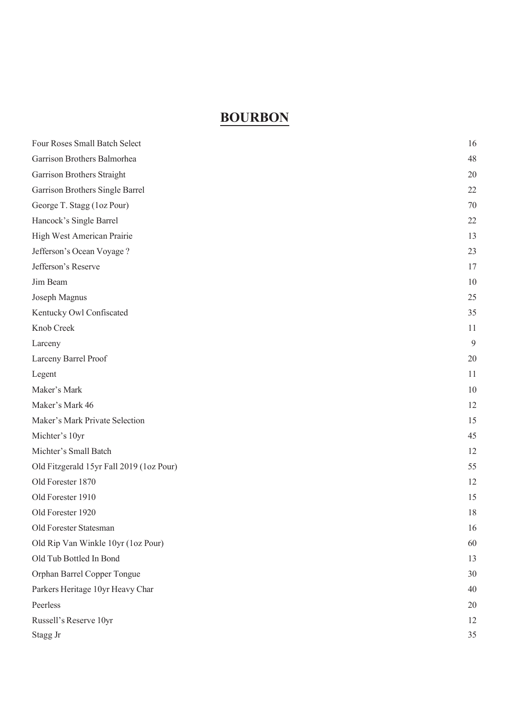### **BOURBON**

| Four Roses Small Batch Select            | 16 |
|------------------------------------------|----|
| Garrison Brothers Balmorhea              | 48 |
| Garrison Brothers Straight               | 20 |
| Garrison Brothers Single Barrel          | 22 |
| George T. Stagg (1oz Pour)               | 70 |
| Hancock's Single Barrel                  | 22 |
| High West American Prairie               | 13 |
| Jefferson's Ocean Voyage?                | 23 |
| Jefferson's Reserve                      | 17 |
| Jim Beam                                 | 10 |
| Joseph Magnus                            | 25 |
| Kentucky Owl Confiscated                 | 35 |
| Knob Creek                               | 11 |
| Larceny                                  | 9  |
| Larceny Barrel Proof                     | 20 |
| Legent                                   | 11 |
| Maker's Mark                             | 10 |
| Maker's Mark 46                          | 12 |
| Maker's Mark Private Selection           | 15 |
| Michter's 10yr                           | 45 |
| Michter's Small Batch                    | 12 |
| Old Fitzgerald 15yr Fall 2019 (1oz Pour) | 55 |
| Old Forester 1870                        | 12 |
| Old Forester 1910                        | 15 |
| Old Forester 1920                        | 18 |
| Old Forester Statesman                   | 16 |
| Old Rip Van Winkle 10yr (1oz Pour)       | 60 |
| Old Tub Bottled In Bond                  | 13 |
| Orphan Barrel Copper Tongue              | 30 |
| Parkers Heritage 10yr Heavy Char         | 40 |
| Peerless                                 | 20 |
| Russell's Reserve 10yr                   | 12 |
| Stagg Jr                                 | 35 |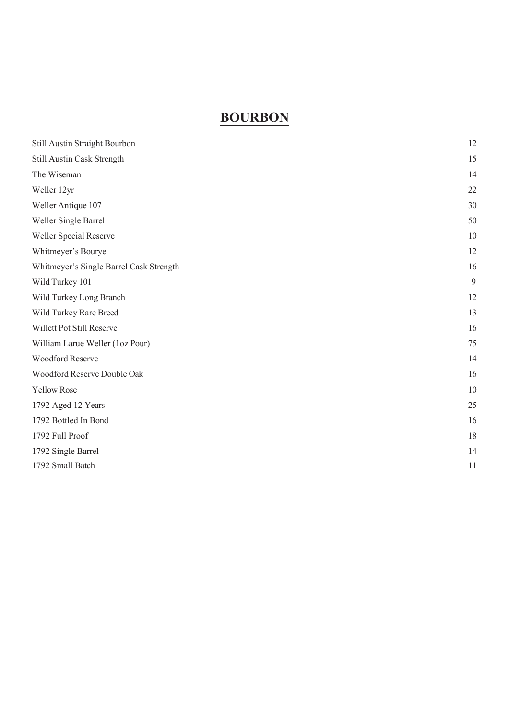### **BOURBON**

| Still Austin Straight Bourbon           | 12 |
|-----------------------------------------|----|
| Still Austin Cask Strength              | 15 |
| The Wiseman                             | 14 |
| Weller 12yr                             | 22 |
| Weller Antique 107                      | 30 |
| Weller Single Barrel                    | 50 |
| Weller Special Reserve                  | 10 |
| Whitmeyer's Bourye                      | 12 |
| Whitmeyer's Single Barrel Cask Strength | 16 |
| Wild Turkey 101                         | 9  |
| Wild Turkey Long Branch                 | 12 |
| Wild Turkey Rare Breed                  | 13 |
| Willett Pot Still Reserve               | 16 |
| William Larue Weller (1oz Pour)         | 75 |
| Woodford Reserve                        | 14 |
| Woodford Reserve Double Oak             | 16 |
| <b>Yellow Rose</b>                      | 10 |
| 1792 Aged 12 Years                      | 25 |
| 1792 Bottled In Bond                    | 16 |
| 1792 Full Proof                         | 18 |
| 1792 Single Barrel                      | 14 |
| 1792 Small Batch                        | 11 |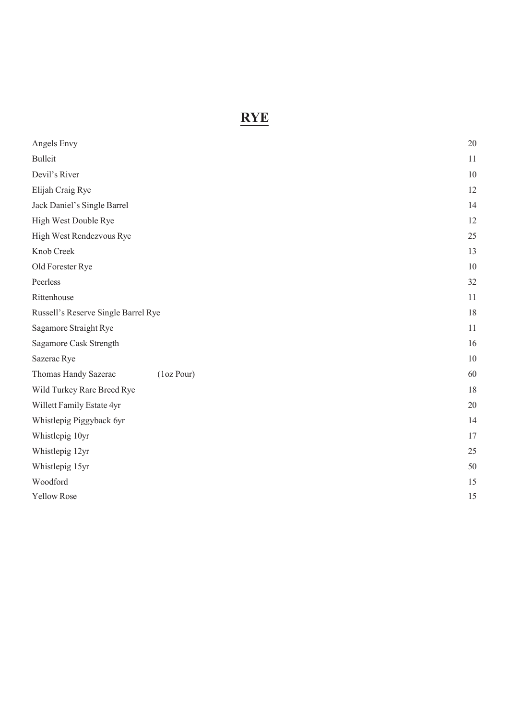## **RYE**

| Angels Envy                         | 20 |
|-------------------------------------|----|
| <b>Bulleit</b>                      | 11 |
| Devil's River                       | 10 |
| Elijah Craig Rye                    | 12 |
| Jack Daniel's Single Barrel         | 14 |
| High West Double Rye                | 12 |
| High West Rendezvous Rye            | 25 |
| Knob Creek                          | 13 |
| Old Forester Rye                    | 10 |
| Peerless                            | 32 |
| Rittenhouse                         | 11 |
| Russell's Reserve Single Barrel Rye | 18 |
| Sagamore Straight Rye               | 11 |
| Sagamore Cask Strength              | 16 |
| Sazerac Rye                         | 10 |
| (1oz Pour)<br>Thomas Handy Sazerac  | 60 |
| Wild Turkey Rare Breed Rye          | 18 |
| Willett Family Estate 4yr           | 20 |
| Whistlepig Piggyback 6yr            | 14 |
| Whistlepig 10yr                     | 17 |
| Whistlepig 12yr                     | 25 |
| Whistlepig 15yr                     | 50 |
| Woodford                            | 15 |
| <b>Yellow Rose</b>                  | 15 |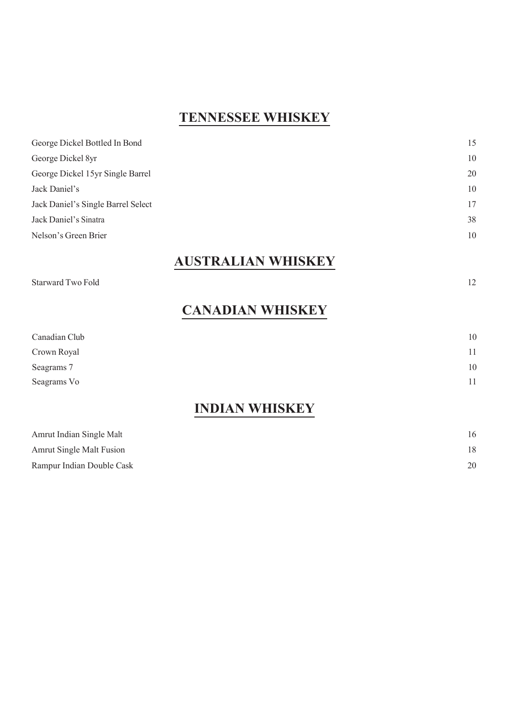### **TENNESSEE WHISKEY**

### **AUSTRALIAN WHISKEY**

Starward Two Fold 12

### **CANADIAN WHISKEY**

| TAINT A AT TYITTATINTI |    |
|------------------------|----|
| Seagrams Vo            | 11 |
| Seagrams 7             | 10 |
| Crown Royal            | 11 |
| Canadian Club          | 10 |
|                        |    |

#### **INDIAN WHISKEY**

| Amrut Indian Single Malt  | 16 |
|---------------------------|----|
| Amrut Single Malt Fusion  | 18 |
| Rampur Indian Double Cask | 20 |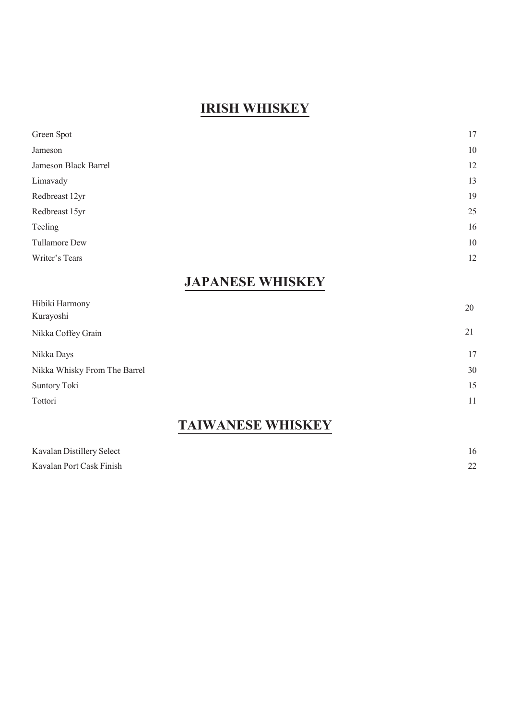### **IRISH WHISKEY**

| Green Spot           | 17 |
|----------------------|----|
| Jameson              | 10 |
| Jameson Black Barrel | 12 |
| Limavady             | 13 |
| Redbreast 12yr       | 19 |
| Redbreast 15yr       | 25 |
| Teeling              | 16 |
| Tullamore Dew        | 10 |
| Writer's Tears       | 12 |
|                      |    |

## **JAPANESE WHISKEY**

| 20 |
|----|
| 21 |
| 17 |
| 30 |
| 15 |
| 11 |
|    |

## **TAIWANESE WHISKEY**

| Kavalan Distillery Select | 16 |
|---------------------------|----|
| Kavalan Port Cask Finish  | 22 |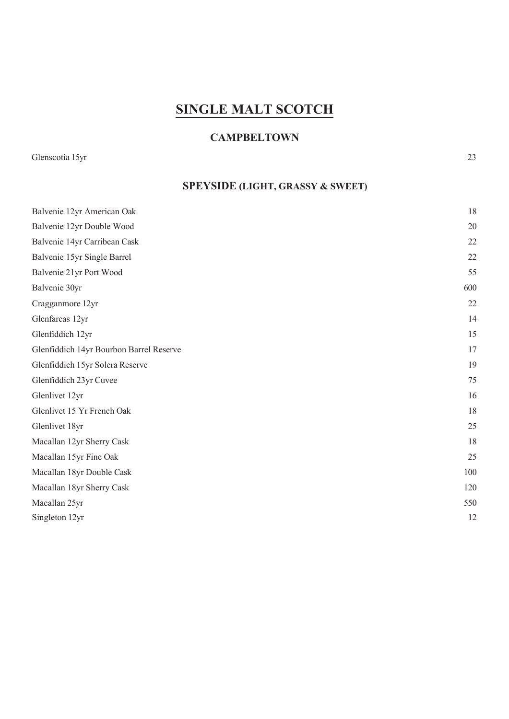## **SINGLE MALT SCOTCH**

#### **CAMPBELTOWN**

Glenscotia 15yr 23

### **SPEYSIDE (LIGHT, GRASSY & SWEET)**

| Balvenie 12yr American Oak              | 18  |
|-----------------------------------------|-----|
| Balvenie 12yr Double Wood               | 20  |
| Balvenie 14yr Carribean Cask            | 22  |
| Balvenie 15yr Single Barrel             | 22  |
| Balvenie 21yr Port Wood                 | 55  |
| Balvenie 30yr                           | 600 |
| Cragganmore 12yr                        | 22  |
| Glenfarcas 12yr                         | 14  |
| Glenfiddich 12yr                        | 15  |
| Glenfiddich 14yr Bourbon Barrel Reserve | 17  |
| Glenfiddich 15yr Solera Reserve         | 19  |
| Glenfiddich 23yr Cuvee                  | 75  |
| Glenlivet 12yr                          | 16  |
| Glenlivet 15 Yr French Oak              | 18  |
| Glenlivet 18yr                          | 25  |
| Macallan 12yr Sherry Cask               | 18  |
| Macallan 15yr Fine Oak                  | 25  |
| Macallan 18yr Double Cask               | 100 |
| Macallan 18yr Sherry Cask               | 120 |
| Macallan 25yr                           | 550 |
| Singleton 12yr                          | 12  |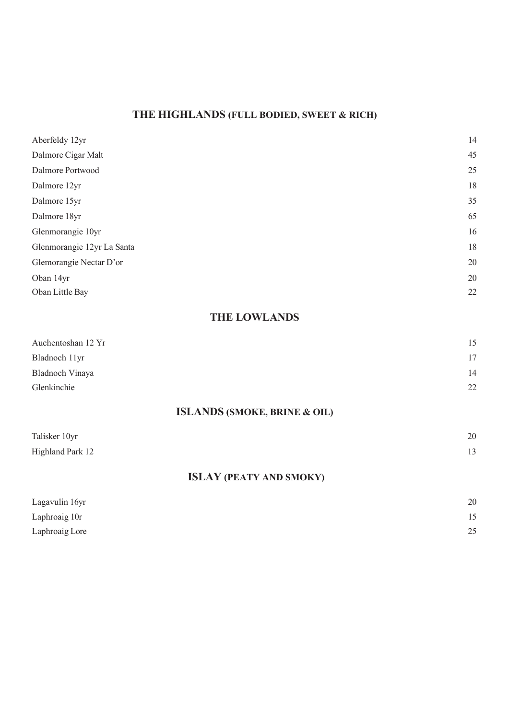### **THE HIGHLANDS (FULL BODIED, SWEET & RICH)**

| Aberfeldy 12yr                          | 14 |
|-----------------------------------------|----|
| Dalmore Cigar Malt                      | 45 |
| Dalmore Portwood                        | 25 |
| Dalmore 12yr                            | 18 |
| Dalmore 15yr                            | 35 |
| Dalmore 18yr                            | 65 |
| Glenmorangie 10yr                       | 16 |
| Glenmorangie 12yr La Santa              | 18 |
| Glemorangie Nectar D'or                 | 20 |
| Oban 14yr                               | 20 |
| Oban Little Bay                         | 22 |
| <b>THE LOWLANDS</b>                     |    |
| Auchentoshan 12 Yr                      | 15 |
| Bladnoch 11yr                           | 17 |
| Bladnoch Vinaya                         | 14 |
| Glenkinchie                             | 22 |
| <b>ISLANDS (SMOKE, BRINE &amp; OIL)</b> |    |
| Talisker 10yr                           | 20 |
| Highland Park 12                        | 13 |
|                                         |    |

#### **ISLAY (PEATY AND SMOKY)**

| Lagavulin 16yr | 20 |
|----------------|----|
| Laphroaig 10r  | 15 |
| Laphroaig Lore | 25 |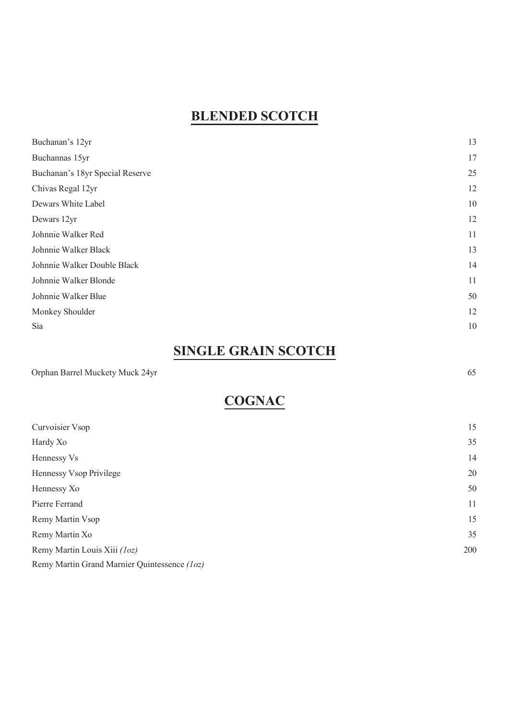### **BLENDED SCOTCH**

| Buchanan's 12yr                 | 13 |
|---------------------------------|----|
| Buchannas 15yr                  | 17 |
| Buchanan's 18yr Special Reserve | 25 |
| Chivas Regal 12yr               | 12 |
| Dewars White Label              | 10 |
| Dewars 12yr                     | 12 |
| Johnnie Walker Red              | 11 |
| Johnnie Walker Black            | 13 |
| Johnnie Walker Double Black     | 14 |
| Johnnie Walker Blonde           | 11 |
| Johnnie Walker Blue             | 50 |
| Monkey Shoulder                 | 12 |
| Sia                             | 10 |

## **SINGLE GRAIN SCOTCH**

Orphan Barrel Muckety Muck 24yr 65

## **COGNAC**

| Curvoisier Vsop                              | 15  |
|----------------------------------------------|-----|
| Hardy Xo                                     | 35  |
| Hennessy Vs                                  | 14  |
| Hennessy Vsop Privilege                      | 20  |
| Hennessy Xo                                  | 50  |
| Pierre Ferrand                               | 11  |
| Remy Martin Vsop                             | 15  |
| Remy Martin Xo                               | 35  |
| Remy Martin Louis Xiii (1oz)                 | 200 |
| Remy Martin Grand Marnier Quintessence (1oz) |     |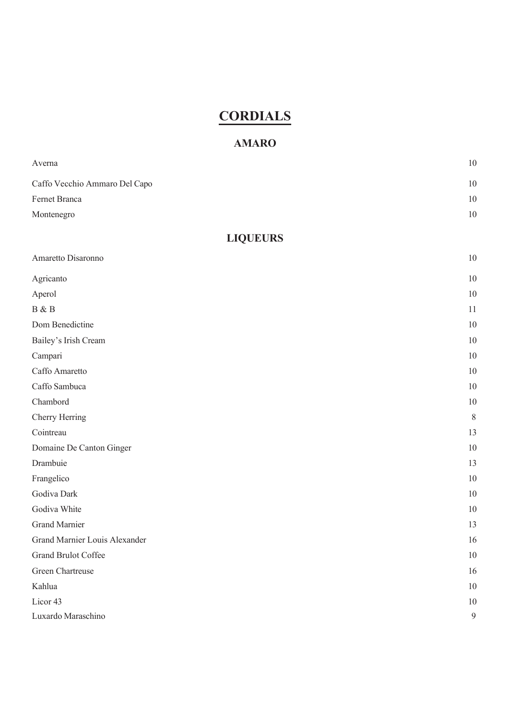## **CORDIALS**

#### **AMARO**

| Averna                        | 10               |
|-------------------------------|------------------|
| Caffo Vecchio Ammaro Del Capo | 10               |
| Fernet Branca                 | 10               |
| Montenegro                    | $10\,$           |
| <b>LIQUEURS</b>               |                  |
|                               |                  |
| Amaretto Disaronno            | 10               |
| Agricanto                     | 10               |
| Aperol                        | 10               |
| B & B                         | 11               |
| Dom Benedictine               | 10               |
| Bailey's Irish Cream          | 10               |
| Campari                       | 10               |
| Caffo Amaretto                | 10               |
| Caffo Sambuca                 | 10               |
| Chambord                      | 10               |
| Cherry Herring                | $\, 8$           |
| Cointreau                     | 13               |
| Domaine De Canton Ginger      | 10               |
| Drambuie                      | 13               |
| Frangelico                    | 10               |
| Godiva Dark                   | 10               |
| Godiva White                  | 10               |
| <b>Grand Marnier</b>          | 13               |
| Grand Marnier Louis Alexander | 16               |
| Grand Brulot Coffee           | 10               |
| Green Chartreuse              | 16               |
| Kahlua                        | 10               |
| Licor <sub>43</sub>           | 10               |
| Luxardo Maraschino            | $\boldsymbol{9}$ |